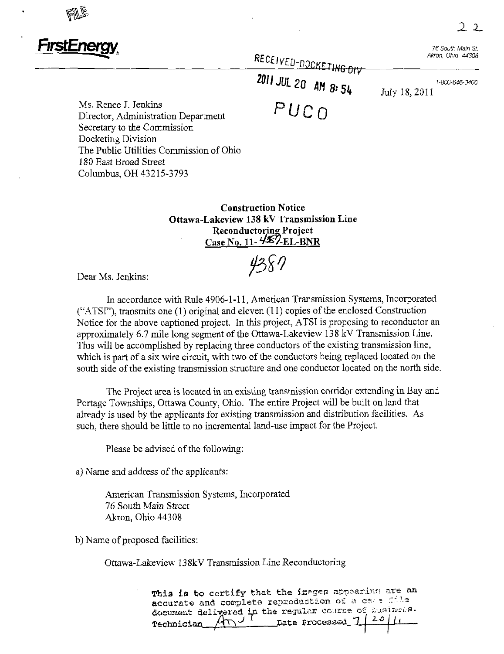

 $2.2$ 

Akron. Ohio 44308

PUCO

2011 JUL 20 AM Q. EL T. 1.1., 18 2011

July 18, 2011

Ms. Renee J. Jenkins Director, Administration Department Secretary to the Commission Docketing Division The Public Utilities Commission of Ohio 180 East Broad Street Columbus, OH 43215-3793

> Construction Notice Ottawa-Lakeview 138 kV Transmission Line Reconductoring Project Case No. 11- $\frac{4}{5}$ . EL-BNR

> > $4387$

Dear Ms. Jenkins:

In accordance with Rule 4906-1-11, American Transmission Systems, Incorporated ("ATSr"), transmits one (1) original and eleven (11) copies of the enclosed Construction Notice for the above captioned project. In this project, ATSI is proposing to reconductor an approximately 6.7 mile long segment of the Ottawa-Lakeview 138 kV Transmission Line. This will be accomplished by replacing three conductors of the existing transmission line, which is part of a six wire circuit, with two of the conductors being replaced located on the south side of the existing transmission structure and one conductor located on the north side.

The Project area is located in an existing transmission corridor extending in Bay and Portage Townships, Ottawa County, Ohio. The entire Project will be built on land that already is used by the applicants for existing transmission and distribution facilities. As such, there should be little to no mcremental land-use impact for the Project.

Please be advised of the following:

a) Name and address of the applicants:

American Transmission Systems, Incorporated 76 South Main Street Akron, Ohio 44308

b) Name of proposed facilities:

Ottawa-Lakeview 13SkV Transmission Line Reconductoring

This is to certify that the images appearing are an accurate and complete reproduction of a ca- : :: 12 document delivered in the regular course of Lasinezs. Technician  $\sqrt{N-1}$  Date Processed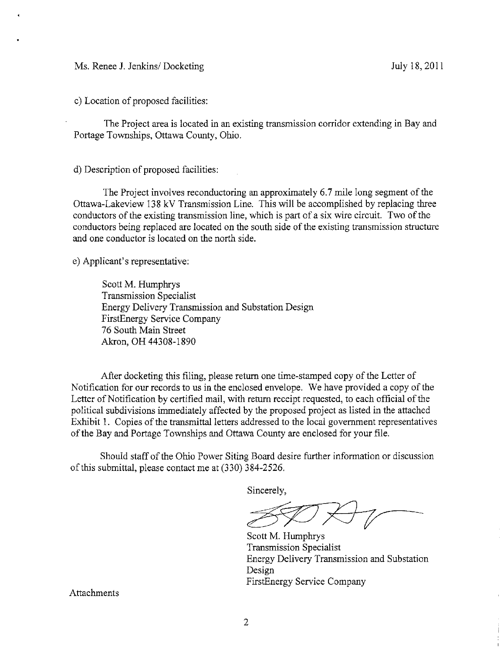c) Location of proposed facilities:

The Project area is located in an existing transmission corridor extending in Bay and Portage Townships, Ottawa County, Ohio.

d) Description of proposed facilities:

The Project involves reconductoring an approximately 6.7 mile long segment of the Ottawa-Lakeview 138 kV Transmission Line. This will be accomplished by replacing three conductors of the existing transmission line, which is part of a six wire circuit. Two of the conductors being replaced are located on the south side of the existing transmission structure and one conductor is located on the north side.

e) Applicant's representative;

Scott M. Humphrys Transmission Specialist Energy Delivery Transmission and Substation Design FirstEnergy Service Company 76 South Main Street Akron, OH 44308-1890

After docketing this filing, please return one time-stamped copy of the Letter of Notification for our records to us in the enclosed envelope. We have provided a copy of the Letter of Notification by certified mail, with return receipt requested, to each official of the political subdivisions immediately affected by the proposed project as listed in the attached Exhibit 1. Copies of the transmittal letters addressed to the local government representatives of the Bay and Portage Townships and Ottawa County are enclosed for your file.

Should staff of the Ohio Power Siting Board desire further information or discussion of this submittal, please contact me at (330) 384-2526.

Sincerely,

Scott M. Humphrys Transmission Specialist Energy Delivery Transmission and Substation Design FirstEnergy Service Company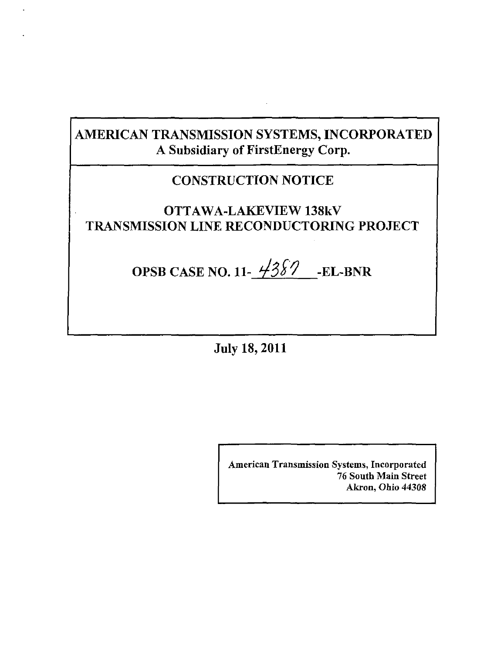# AMERICAN TRANSMISSION SYSTEMS, INCORPORATED A Subsidiary of FirstEnergy Corp.

# CONSTRUCTION NOTICE

# OTTAWA-LAKEVIEW 138kV TRANSMISSION LINE RECONDUCTORING PROJECT

# OPSB CASE NO. 11- $\frac{\sqrt{387}}{2}$ -EL-BNR

July 18, 2011

American Transmission Systems, Incorporated 76 South Main Street Akron, Ohio 44308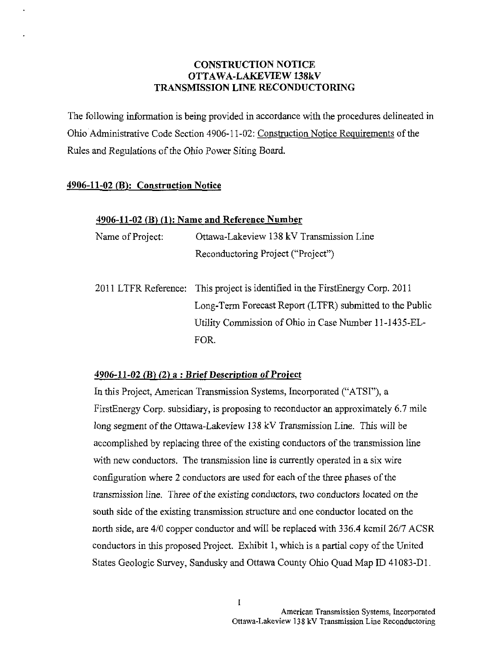# CONSTRUCTION NOTICE OTTAWA-LAKEVIEW 138kV TRANSMISSION LINE RECONDUCTORING

The following information is being provided in accordance with the procedures delineated in Ohio Administrative Code Section 4906-11-02: Construction Notice Requirements of the Rules and Regulations of the Ohio Power Siting Board.

# 4906-11-02 (B): Construction Notice

#### 4906-11-02 (B) (1): Name and Reference Number

| Name of Project: | Ottawa-Lakeview 138 kV Transmission Line |  |
|------------------|------------------------------------------|--|
|                  | Reconductoring Project ("Project")       |  |

2011 LTFR Reference; This project is identified in the FirstEnergy Corp. 2011 Long-Term Forecast Report (LTFR) submitted to the Public Utility Commission of Ohio in Case Number 11-1435-EL-FOR.

# $4906-11-02$  (B) (2) a : Brief Description of Project

In this Project, American Transmission Systems, Incorporated ("ATSI"), a FirstEnergy Corp. subsidiary, is proposing to reconductor an approximately 6.7 mile long segment of the Ottawa-Lakeview 138 kV Transmission Line. This will be accomplished by replacing three of the existing conductors of the transmission line with new conductors. The transmission line is currentiy operated in a six wire configuration where 2 conductors are used for each of the three phases of the transmission line. Three of the existing conductors, two conductors located on the south side of the existing transmission structure and one conductor located on the north side, are 4/0 copper conductor and will be replaced with 336.4 kcmil 26/7 ACSR conductors in this proposed Project. Exhibit 1, which is a partial copy of the United States Geologic Survey, Sandusky and Ottawa County Ohio Quad Map ID 41083-Dl.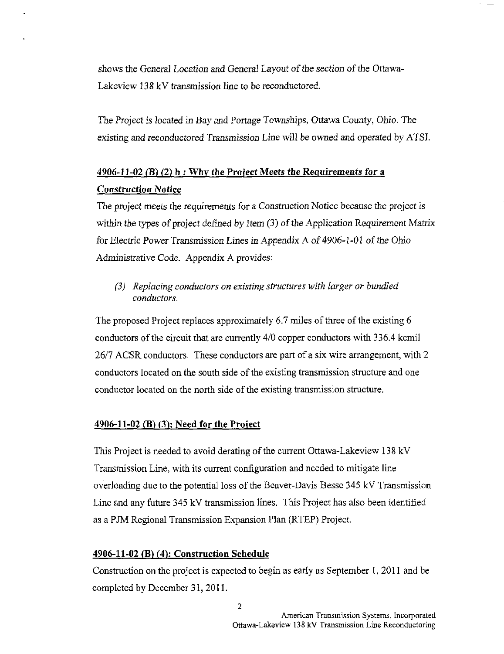shows the General Location and General Layout of the section of the Ottawa-Lakeview 138 kV transmission line to be reconductored.

The Project is located in Bay and Portage Townships, Ottawa County, Ohio. The existing and reconductored Transmission Line will be owned and operated by ATSI.

# $4906-11-02$  (B) (2) b : Why the Project Meets the Requirements for a Construction Notice

The project meets the requirements for a Construction Notice because the project is within the types of project defined by Item (3) of the Application Requirement Matrix for Electric Power Transmission Lines in Appendix A of 4906-1-01 of the Ohio Administrative Code. Appendix A provides:

(3) Replacing conductors on existing structures with larger or bundled conductors.

The proposed Project replaces approximately 6.7 miles of three of the existing 6 conductors of the circuit that are currently 4/0 copper conductors with 336.4 kcmil 26/7 ACSR conductors. These conductors are part of a six wire arrangement, with 2 conductors located on the south side of the existing transmission structure and one conductor located on the north side of the existing transmission structure.

#### $4906-11-02$  (B) (3): Need for the Project

This Project is needed to avoid derating of the current Ottawa-Lakeview 138 kV Transmission Line, with its current configuration and needed to mitigate line overloading due to the potential loss of the Beaver-Davis Besse 345 kV Transmission Line and any future 345 kV transmission lines. This Project has also been identified as a PJM Regional Transmission Expansion Plan (RTEP) Project.

#### 4906-11-02 (B) (4): Construction Schedule

Construction on the project is expected to begin as early as September 1, 2011 and be completed by December 31, 2011.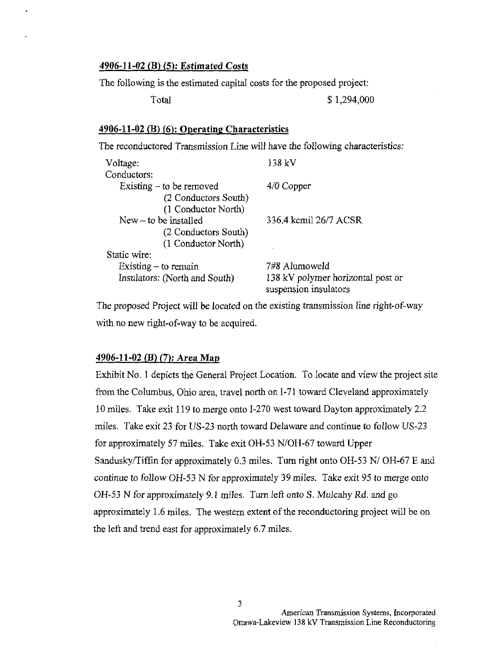#### 4906-11-02 (B) (5): Estimated Costs

The following is the estimated capital costs for the proposed project:

Total \$ 1,294,000

#### $4906-11-02$  (B)  $(6)$ : Operating Characteristics

The reconductored Transmission Line will have the following characteristics:

| Voltage:                      | 138 kV                                                     |
|-------------------------------|------------------------------------------------------------|
| Conductors:                   |                                                            |
| Existing $-$ to be removed    | $4/0$ Copper                                               |
| (2 Conductors South)          |                                                            |
| (1 Conductor North)           |                                                            |
| $New - to be installed$       | 336.4 kcmil 26/7 ACSR                                      |
| (2 Conductors South)          |                                                            |
| (1 Conductor North)           |                                                            |
| Static wire:                  |                                                            |
| Existing $-$ to remain        | 7#8 Alumoweld                                              |
| Insulators: (North and South) | 138 kV polymer horizontal post or<br>suspension insulators |

The proposed Project will be located on the existing transmission line right-of-way with no new right-of-way to be acquired.

#### 4906-11-02 (B) (7): Area Map

Exhibit No. 1 depicts the General Project Location. To locate and view the project site from the Columbus, Ohio area, travel north on I-71 toward Cleveland approximately 10 miles. Take exit 119 to merge onto 1-270 west toward Dayton approximately 2.2 miles. Take exit 23 for US-23 north toward Delaware and continue to follow US-23 for approximately 57 miles. Take exit OH-53 N/OH-67 toward Upper Sandusky/Tiffin for approximately 0.3 miles. Turn right onto OH-53 N/ OH-67 E and continue to follow OH-53 N for approximately 39 miles. Take exit 95 to merge onto OH-53 N for approximately 9.1 miles. Turn left onto S. Mulcahy Rd. and go approximately 1.6 miles. The western extent of the reconductoring project will be on the left and trend east for approximately 6.7 miles.

3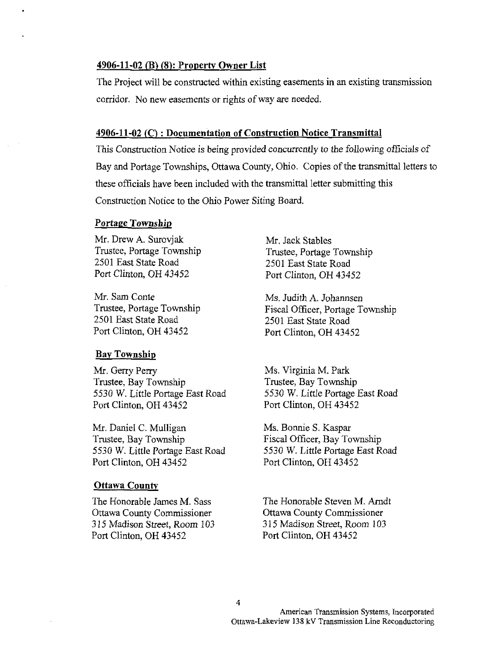#### 4906-11-02 (B) (8>: Property Owner List

The Project will be constructed within existing easements in an existing transmission corridor. No new easements or rights of way are needed.

#### 4906-11-02 (C) : Documentation of Construction Notice Transmittal

This Construction Notice is being provided concurrently to the following officials of Bay and Portage Townships, Ottawa County, Ohio. Copies of the transmittal letters to these officials have been included with the transmittal letter submitting this Construction Notice to the Ohio Power Siting Board.

#### Portage Township

Mr. Drew A. Surovjak Trustee, Portage Township 2501 East State Road Port Clinton, OH 43452

Mr. Sam Conte Trustee, Portage Township 2501 East State Road Port Clinton, OH 43452

#### Bay Township

Mr. Gerry Perry Trustee, Bay Township 5530 W. Little Portage East Road Port Clinton, OH 43452

Mr. Daniel C. Mulligan Trustee, Bay Township 5530 W. Little Portage East Road Port Clinton, OH 43452

#### **Ottawa County**

The Honorable James M. Sass Ottawa County Commissioner 315 Madison Street, Room 103 Port Clinton, OH 43452

Mr. Jack Stables Trustee, Portage Township 2501 East State Road Port Clinton, OH 43452

Ms. Judith A. Johannsen Fiscal Officer, Portage Township 2501 East State Road Port Clinton, OH 43452

Ms. Virginia M. Park Trustee, Bay Township 5530 W. Little Portage East Road Port Clinton, OH 43452

Ms. Bonnie S. Kaspar Fiscal Officer, Bay Township 5530 W. Little Portage East Road Port Clinton, OH 43452

The Honorable Steven M. Amdt Ottawa County Commissioner 315 Madison Street, Room 103 Port Clinton, OH 43452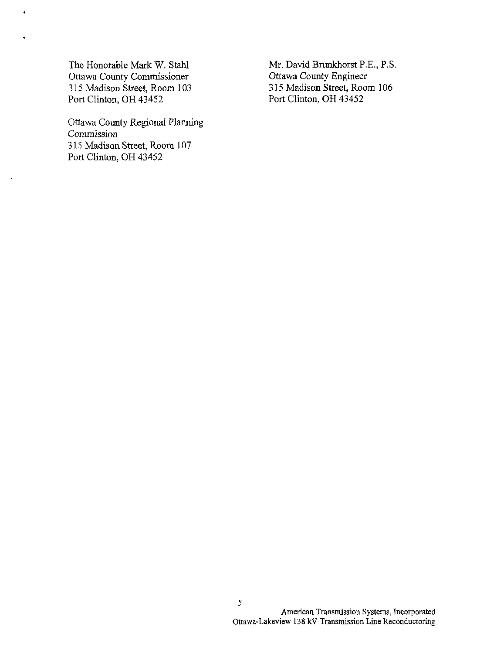The Honorable Mark W. Stahl Ottawa County Commissioner 315 Madison Street, Room 103 Port Clinton, OH 43452

Ottawa County Regional Planning Commission 315 Madison Street, Room 107 Port Clinton, OH 43452

Mr. David Brunkhorst P.E., P.S. Ottawa County Engineer 315 Madison Street, Room 106 Port Clinton, OH 43452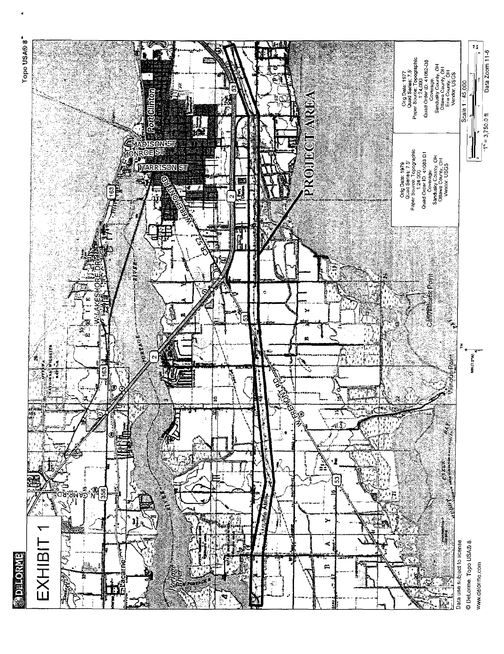

Topo USA® 8

**ADELORME**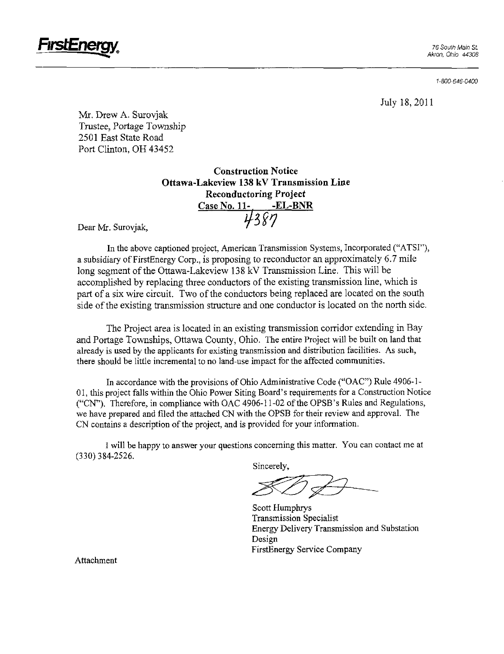

1-800-646-0400

July 18,2011

Mr. Drew A. Surovjak Trustee, Portage Township 2501 East State Road Port Clinton, OH 43452

> Construction Notice Ottawa-Lakeview 138 kV Transmission Line Reconductoring Project Case No. 11- -EL-BNR

Dear Mr. Surovjak,

In the above captioned project, American Transmission Systems, Incorporated ("ATSI"), a subsidiary of FirstEnergy Corp., is proposing to reconductor an approximately 6.7 mile long segment of the Ottawa-Lakeview 138 kV Transmission Line. This will be accomplished by replacing three conductors of the existing transmission line, which is part of a six wire circuit. Two of the conductors being replaced are located on the south side of the existing transmission structure and one conductor is located on the north side,

The Project area is located in an existing transmission corridor extending in Bay and Portage Townships, Ottawa County, Ohio. The entire Project will be built on land that already is used by the applicants for existing transmission and distribution facilities. As such, there should be little incremental to no land-use impact for the affected communities.

In accordance with the provisions of Ohio Administrative Code ("OAC") Rule 4906-1- 01, this project falls within the Ohio Power Siting Board's requirements for a Construction Notice C'CN"). Therefore, in compliance with OAC 4906-11-02 of the OPSB's Rules and Regulations, we have prepared and filed the attached CN with the OPSB for their review and approval. The CN contains a description of the project, and is provided for your information.

1 will be happy to answer your questions conceming this matter. You can contact me at (330)384-2526.

Sincerely,

Scott Humphrys Transmission Specialist Energy Delivery Transmission and Substation Design FirstEnergy Service Company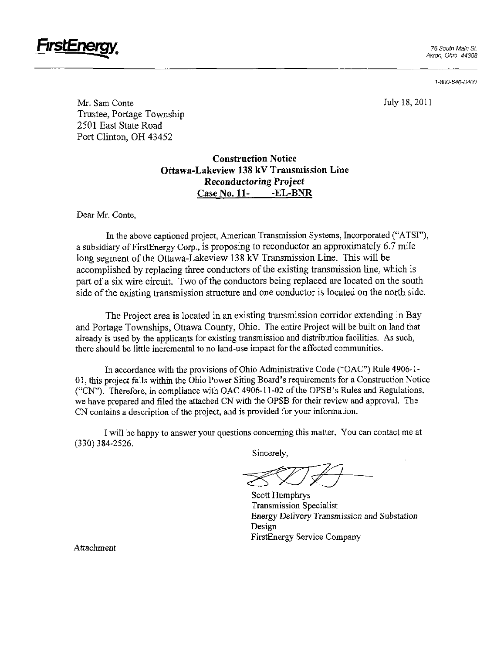

1-800-646-0400

Mr. Sam Conte July 18, 2011 Trustee, Portage Township 2501 East State Road Port Clinton, OH 43452

# Construction Notice Ottawa-Lakeview 138 kV Transmission Line Reconductoring Project Case No. 11- -EL-BNR

Dear Mr. Conte,

In the above captioned project, American Transmission Systems, Incorporated ("ATSI"), a subsidiary of FirstEnergy Corp., is proposing to reconductor an approximately 6.7 mile long segment of the Ottawa-Lakeview 138 kV Transmission Line. This will be accomplished by replacing three conductors of the existing transmission line, which is part of a six wire circuit. Two of the conductors being replaced are located on the south side of the existing transmission structure and one conductor is located on the north side.

The Project area is located in an existing transmission corridor extending in Bay and Portage Townships, Ottawa County, Ohio. The entire Project will be built on land that already is used by the applicants for existing transmission and distribution facihties. As such, there should be little incremental to no land-use impact for the affected communities.

In accordance with the provisions of Ohio Administrative Code ("OAC") Rule 4906-1- 01, this project falls within the Ohio Power Siting Board's requirements for a Construction Notice ("CN"). Therefore, in compliance with OAC 4906-11-02 of the OPSB's Rules and Regulations, we have prepared and filed the attached CN with the OPSB for their review and approval. The CN contains a description of the project, and is provided for your information.

I will be happy to answer your questions conceming this matter. You can contact me at (330) 384-2526.

Sincerely,

Scott Humphrys Transmission Specialist Energy Delivery Transmission and Substation Design FirstEnergy Service Company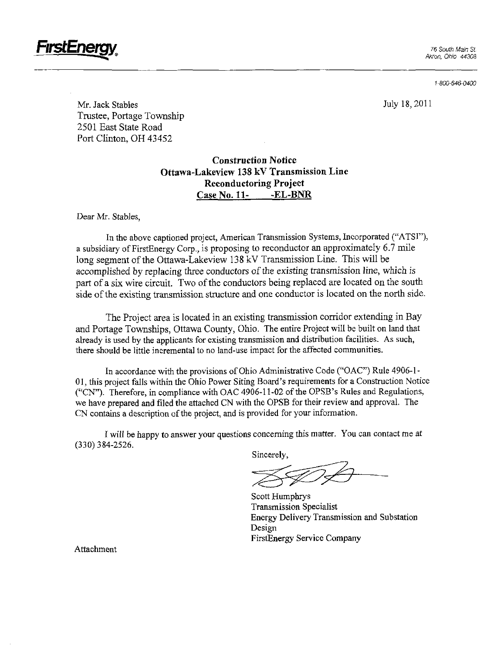

1-800-646-0400

Mr. Jack Stables July 18,2011 Trustee, Portage Township 2501 East State Road Port Clinton, OH 43452

# Construction Notice Ottawa-Lakeview 138 kV Transmission Line Reconductoring Project  $Case No. 11- **-EL-BNR**$

Dear Mr. Stables,

In the above captioned project, American Transmission Systems, Incorporated ("ATSI"), a subsidiary of FirstEnergy Corp., is proposing to reconductor an approximately 6.7 mile long segment of the Ottawa-Lakeview 138 kV Transmission Line. This will be accomplished by replacing three conductors of the existing transmission line, which is part of a six wire circuit. Two of the conductors being replaced are located on the south side of the existing transmission structure and one conductor is located on the north side.

The Project area is located in an existing transmission corridor extending in Bay and Portage Townships, Ottawa County, Ohio. The entire Project will be built on land that already is used by the applicants for existing transmission and distribution facilities. As such, there should be little incremental to no land-use impact for the affected communities.

In accordance with the provisions of Ohio Administrative Code ("OAC") Rule 4906-1- 01, this project falls within the Ohio Power Siting Board's requirements for a Construction Notice ("CN"). Therefore, in compliance with OAC 4906-11-02 of the OPSB's Rules and Regulations, we have prepared and filed the attached CN with the OPSB for their review and approval. The CN contains a description of the project, and is provided for your information.

I will be happy to answer your questions conceming this matter. You can contact me at (330)384-2526.

Sincerely,

Scott Humphrys Transmission Specialist Energy Delivery Transmission and Substation Design FirstEnergy Service Company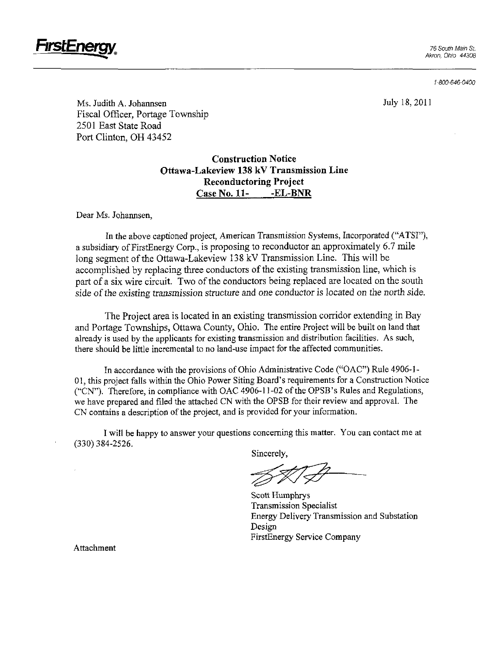

1-800-646-0400

Ms. Judith A. Johannsen July 18, 2011 Fiscal Officer, Portage Township 2501 East State Road Port Clinton, OH 43452

# Construction Notice Ottawa-Lakeview 138 kV Transmission Line Reconductoring Project Case No. 11- - EL-BNR

Dear Ms. Johannsen,

In the above captioned project, American Transmission Systems, Incorporated ("ATSI"), a subsidiary of FirstEnergy Corp., is proposing to reconductor an approximately 6.7 mile long segment of the Ottawa-Lakeview 138 kV Transmission Line. This will be accomplished by replacing three conductors of the existing transmission line, which is part of a six wire circuit. Two of the conductors being replaced are located on the south side of the existing transmission structure and one conductor is located on the north side.

The Project area is located in an existing transmission corridor extending in Bay and Portage Townships, Ottawa County, Ohio. The entire Project will be built on land that already is used by the applicants for existing transmission and distribution facilities. As such, there should be little incremental to no land-use impact for the affected communities.

In accordance with the provisions of Ohio Administrative Code ("OAC") Rule 4906-L 01, this project falls within the Ohio Power Siting Board's requirements for a Construction Notice ("CN"). Therefore, in compliance with OAC 4906-11-02 of die OPSB's Rules and Regulations, we have prepared and filed the attached CN with the OPSB for their review and approval. The CN contains a description of the project, and is provided for your information.

I will be happy to answer your questions conceming this matter. You can contact me at (330)384-2526.

Sincerely,

Scott Humphrys Transmission Specialist Energy Delivery Transmission and Substation Design FirstEnergy Service Company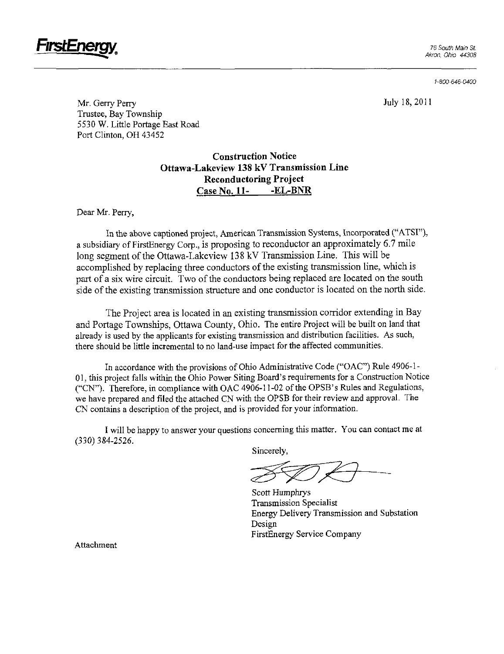

76 South Main St. Akivn. Ohio 44308

1-800-646-0400

Mr. Gerry Peny July 18, 2011 Trustee, Bay Township 5530 W. Little Portage East Road Port Clinton, OH 43452

# Construction Notice Ottawa-Lakeview 138 kV Transmission Line Reconductoring Project Case No. 11- -EL-BNR

Dear Mr. Perry,

In the above captioned project, American Transmission Systems, Incorporated ("ATSI"), a subsidiary of FirstEnergy Corp., is proposing to reconductor an approximately 5.7 mile long segment of the Ottawa-Lakeview 138 kV Transmission Line. This will be accomplished by replacing three conductors of the existing transmission line, which is part of a six wire circuit. Two of the conductors being replaced are located on the south side of the existing transmission structure and one conductor is located on the north side.

The Project area is located in an existing transmission corridor extending in Bay and Portage Townships, Ottawa County, Ohio. The entire Project will be built on land that already is used by the applicants for existing transmission and disttibution facilities. As such, there should be little incremental to no land-use impact for the affected communities.

In accordance with the provisions of Ohio Administrative Code ("OAC") Rule 4906-1- 01, this project falls within the Ohio Power Siting Board's requirements for a Construction Notice ("CN"). Therefore, in compliance with OAC 4906-11-02 of the OPSB's Rules and Regulations, we have prepared and filed the attached CN with the OPSB for their review and approval. The CN contains a description of the project, and is provided for your information.

I will be happy to answer your questions conceming this matter. You can contact me at (330)384-2526.

Sincerely,

Scott Humphrys Transmission Specialist Energy Delivery Transmission and Substation Design FirstEnergy Service Company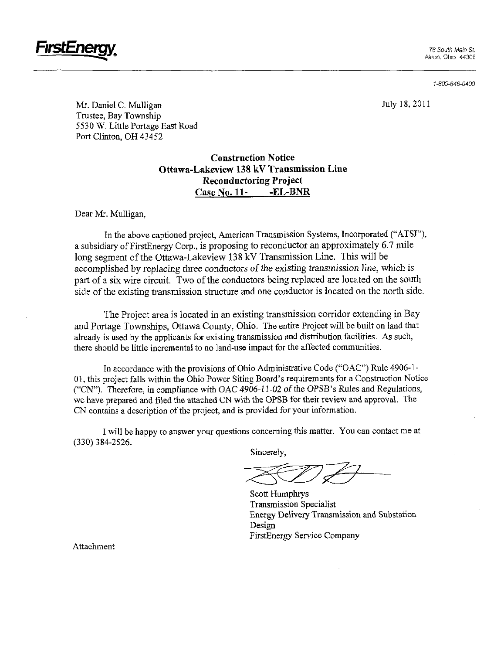

1-800-646-0400

Mr. Daniel C. Mulligan July 18, 2011 Trustee, Bay Township 5530 W. Little Portage East Road Port Clinton, OH 43452

# Construction Notice Ottawa-Lakeview 138 kV Transmission Line Reconductoring Project Case No. 11- -EL-BNR

Dear Mr. Mulligan,

In the above captioned project, American Transmission Systems, Incorporated ("ATSI"), a subsidiary of FirstEnergy Corp., is proposing to reconductor an approximately 6.7 mile long segment of the Ottawa-Lakeview 138 kV Transmission Line. This will be accomplished by replacing three conductors of the existing transmission line, which is part of a six wire circuit. Two of the conductors being replaced are located on the south side of the existing transmission structure and one conductor is located on the north side.

The Project area is located in an existing transmission corridor extending in Bay and Portage Townships, Ottawa County, Ohio, The entire Project will be buih on land that already is used by the applicants for existing transmission and distribution facilities. As such, there should be little incremental to no land-use impact for the affected communities.

In accordance with the provisions of Ohio Administrative Code ("OAC") Rule 4906-1- 01, this project falls within the Ohio Power Siting Board's requirements for a Construction Notice ("CN"). Therefore, in compliance with OAC 4906-11-02 of the OPSB's Rules and Regulations, we have prepared and filed the attached CN with the OPSB for their review and approval. The CN contains a description of the project, and is provided for your information.

I will be happy to answer your questions conceming this matter. You can contact me at (330)384-2526.

Sincerely,

Scott Humphrys Transmission Specialist Energy Delivery Transmission and Substation Design FirstEnergy Service Company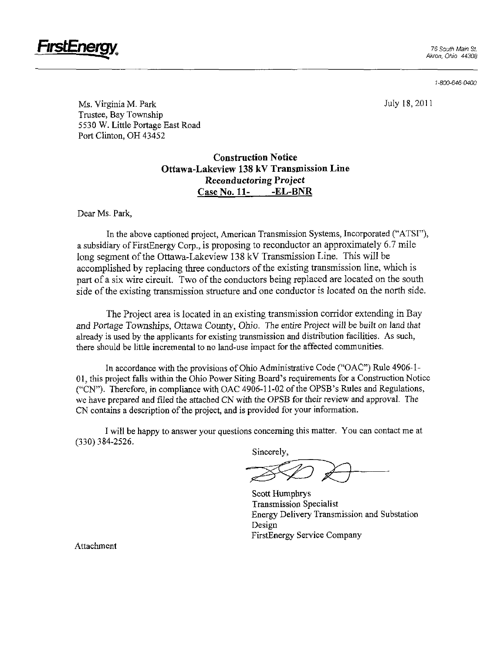

1-800-646-0400

Ms. Virginia M. Park July 18,2011 Trustee, Bay Township 5530 W. Little Portage East Road Port Cimton, OH 43452

# Construction Notice Ottawa-Lakeview 138 kV Transmission Line Reconductoring Project Case No. 11- -EL-BNR

Dear Ms. Park,

In the above captioned project, American Transmission Systems, Incorporated ("ATSI"), a subsidiary of FirstEnergy Corp., is proposing to reconductor an approximately 6.7 mile long segment of the Ottawa-Lakeview 138 kV Transmission Line. This will be accomplished by replacing three conductors of the existing transmission line, which is part of a six wire circuit. Two of the conductors being replaced are located on the south side of the existing transmission structure and one conductor is located on the north side.

The Project area is located in an existing transmission corridor extending in Bay and Portage Townships, Ottawa County, Ohio. The entire Project will be built on land that aheady is used by the applicants for existing transmission and distribution facilities. As such, there should be little incremental to no land-use impact for the affected communities.

In accordance with the provisions of Ohio Administrative Code ("OAC") Rule 4906-1- 01, this project falls within the Ohio Power Siting Board's requirements for a Construction Notice ("CN"). Therefore, in compliance with OAC 4906-11-02 of the OPSB's Rules and Regulations, we have prepared and filed the attached CN with the OPSB for their review and approval. The CN contains a description of the project, and is provided for your information.

I will be happy to answer your questions conceming this matter. You can contact me at (330)384-2526.

Sincerely,

Scott Humphrys Transmission Specialist Energy Delivery Transmission and Substation Design FirstEnergy Service Company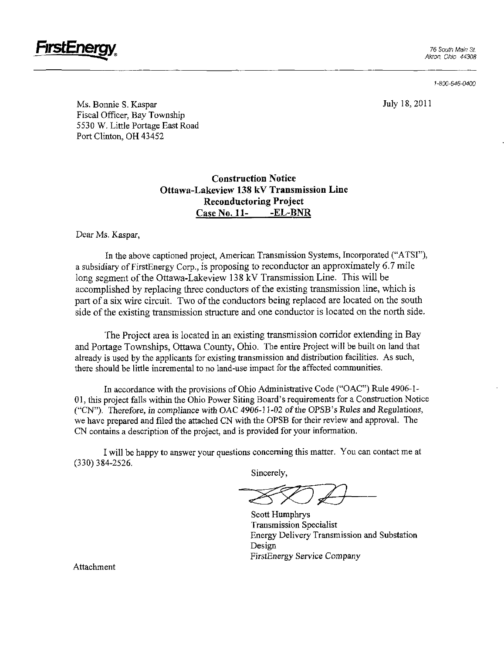

1-800-646-0400

Ms. Bonnie S. Kaspar July 18, 2011 Fiscal Officer, Bay Township 5530 W. Little Portage East Road Port Clinton. OH 43452

# Construction Notice Ottawa-Lakeview 138 kV Transmission Line Reconductoring Project Case No. 11- $-EL-BNR$

Dear Ms. Kaspar,

In the above captioned project, American Transmission Systems, Incorporated ("ATSI"), a subsidiary of FirstEnergy Corp., is proposing to reconductor an approximately 6.7 mile long segment of the Ottawa-Lakeview 138 kV Transmission Line. This will be accomplished by replacing three conductors of the existing transmission line, which is part of a six wire circuit. Two of the conductors being replaced are located on the south side of the existing transmission structure and one conductor is located on the north side.

The Project area is located in an existing transmission corridor extending in Bay and Portage Townships, Ottawa County, Ohio. The entire Project will be built on land that already is used by the applicants for existing transmission and distribution facilities. As such, there should be little incremental to no land-use impact for the affected communities.

In accordance with the provisions of Ohio Administrative Code ("OAC") Rule 4906-1- 01, this project falls within the Ohio Power Siting Board's requirements for a Construction Notice ("CN"). Therefore, in compliance with OAC 4906-11-02 of the OPSB's Rules and Regulations, we have prepared and filed the attached CN with the OPSB for their review and approval. The CN contains a description of the project, and is provided for your information.

I will be happy to answer your questions conceming this matter. You can contact me at (330)384-2526.

Sincerely,

Scott Humphrys Transmission Specialist Energy Delivery Transmission and Substation Design FirstEnergy Service Company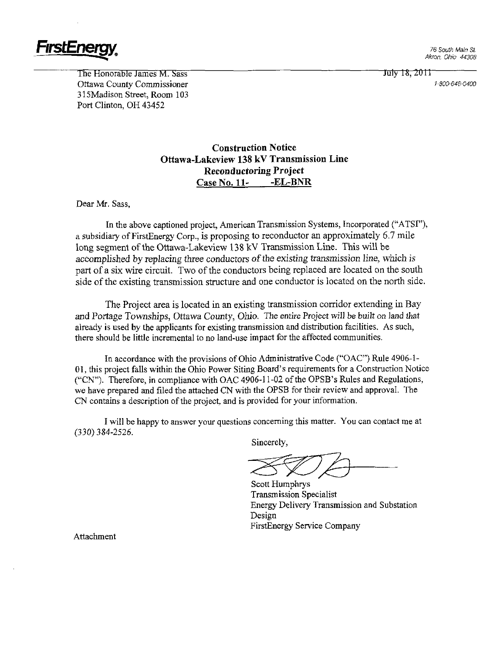

The Honorable James M. Sass July 18, 2011 Ottawa County Commissioner is a control of the control of the control of the control of the control of the control of the control of the control of the control of the control of the control of the control of the control of 3l5Madison Street, Room 103 Port Clinton, OH 43452

# Construction Notice Ottawa-Lakeview 138 kV Transmission Line Reconductoring Project Case No. 11- -EL-BNR

Dear Mr. Sass,

In the above captioned project, American Transmission Systems, Incorporated ("ATSI"), a subsidiary of FirstEnergy Corp., is proposing to reconductor an approximately 6.7 mile long segment of the Ottawa-Lakeview 138 kV Transmission Line. This will be accomptished by replacing three conductors of the existing transmission line, which is part of a six wire circuit. Two of the conductors being replaced are located on the south side of the existing transmission structure and one conductor is located on the north side.

The Project area is located in an existing transmission corridor extending in Bay and Portage Townships, Ottawa County, Ohio. The entire Project will be built on land that already is used by the applicants for existing transmission and disttibution facilities. As such, there should be little incremental to no land-use impact for the affected communities.

In accordance with the provisions of Ohio Administrative Code ("OAC") Rule 4906-1- 01, this project falls withm the Ohio Power Siting Board's requirements for a Construction Notice C'CN"). Therefore, in compliance with OAC 4906-11-02 of the OPSB's Rules and Regulations, we have prepared and filed the attached CN with the OPSB for their review and approval. The CN contains a description of the project, and is provided for your information.

I will be happy to answer your questions concerning this matter. You can contact me at (330)384-2526.

Sincerely,

Scott Humphrys Transmission Specialist Energy Delivery Transmission and Substation Design FirstEnergy Service Company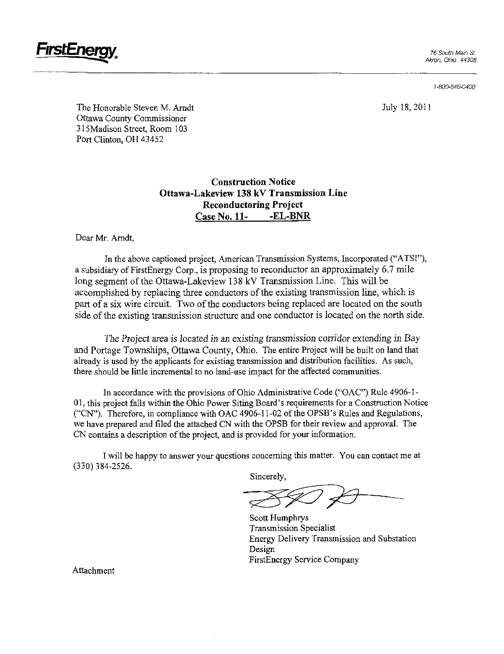

1-800-646-0400

The Honorable Steven M. Arndt July 18, 2011 Ottawa County Commissioner 3l5Madison Stteet, Room 103 Port Clinton, OH 43452

# Construction Notice Ottawa-Lakeview 138 kV Transmission Line Reconductoring Project Case No. 11- -EL-BNR

Dear Mr, Amdt,

In the above captioned project, American Transmission Systems, Incorporated ("ATSI"), a subsidiary of FirstEnergy Corp., is proposing to reconductor an approximately 6.7 mile long segment of the Ottawa-Lakeview 138 kV Transmission Line. This will be accomplished by replacing three conductors of the existing transmission line, which is part of a six wire circuit. Two of the conductors being replaced are located on the south side of the existing transmission structure and one conductor is located on the north side.

The Project area is located in an existing transmission corridor extending in Bay and Portage Townships, Ottawa County, Ohio. The entire Project will be built on land that already is used by the applicants for existing transmission and distribution facilities. As such, there should be little incremental to no land-use impact for the affected communities.

In accordance with the provisions of Ohio Administrative Code ("GAC") Rule 4906-1- 01, this project falls withm the Ohio Power Siting Board's requirements for a Construction Notice ("CN"). Therefore, in compliance with OAC 4906-11-02 of the OPSB's Rules and Regulations, we have prepared and filed the attached CN with the OPSB for their review and approval. The CN contains a description of the project, and is provided for your information.

I will be happy to answer your questions conceming this matter. You can contact me at (330)384-2526.

Sincerely,

Scott Humphrys Transmission Specialist Energy Delivery Transmission and Substation Design FirstEnergy Service Company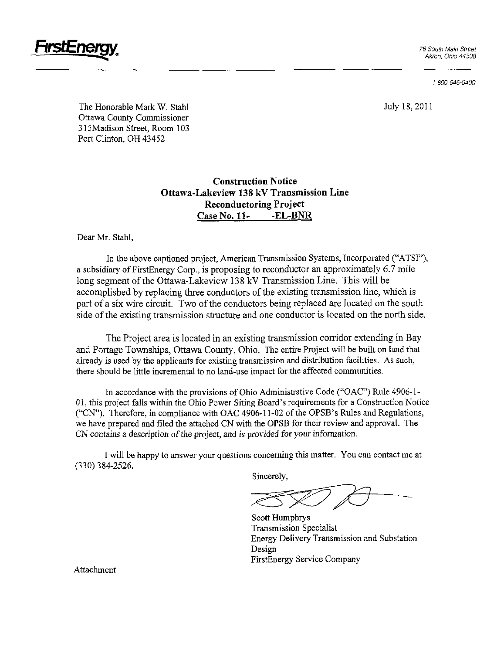

1-800-646-0400

The Honorable Mark W. Stahl July 18, 2011 Ottawa County Commissioner 315Madison Street, Room 103 Port Clinton, OH 43452

# Construction Notice Ottawa-Lakeview 138 kV Transmission Line Reconductoring Project Case No. 11- -EL-BNR

Dear Mr. Stahl,

In the above captioned project, American Transmission Systems, Incorporated ("ATSI"), a subsidiary of FirstEnergy Corp., is proposing to reconductor an approximately 6.7 mile long segment of the Ottawa-Lakeview 138 kV Transmission Line. This will be accomptished by replacing three conductors of the existing transmission line, which is part of a six wire circuit. Two of the conductors being replaced are located on the south side of the existing transmission structure and one conductor is located on the north side.

The Project area is located in an existing transmission corridor extending in Bay and Portage Townships, Ottawa County, Ohio. The entire Project will be built on land that already is used by the applicants for existing transmission and disttibution facilities. As such, there should be little incremental to no land-use impact for the affected communities.

In accordance with the provisions of Ohio Administrative Code ("OAC") Rule 4906-1- 01, this project falls within the Ohio Power Siting Board's requirements for a Construction Notice ("CN"). Therefore, in compliance with OAC 4906-11-02 of the OPSB's Rules and Regulations, we have prepared and filed the attached CN with the OPSB for their review and approval. The CN contains a description of the project, and is provided for your information.

I will be happy to answer your questions conceming this matter. You can contact me at (330)384-2526.

Sincerely,

Scott Humphrys Transmission Specialist Energy Delivery Transmission and Substation Design FirstEnergy Service Company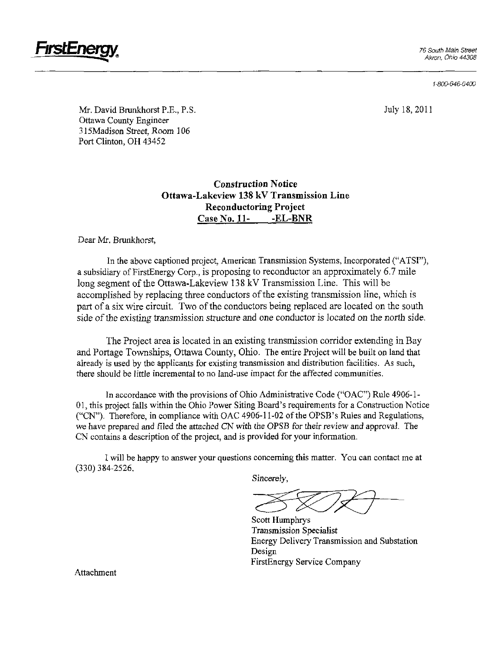

1-800-646-0400

Mr. David Brunkhorst P.E., P.S. July 18, 2011 Ottawa County Engineer 3]5Madison Street, Room 106 Port Clinton, OH 43452

# Construction Notice Ottawa-Lakeview 138 kV Transmission Line Reconductoring Project Case No. 11- -EL-BNR

Dear Mr. Brunkhorst,

In the above captioned project, American Transmission Systems, Incorporated ("ATSI"), a subsidiary of FirstEnergy Corp., is proposing to reconductor an approximately 6.7 mile long segment of the Ottawa-Lakeview 138 kV Transmission Line. This will be accomplished by replacing three conductors of the existing transmission line, which is part of a six wire circuit. Two of the conductors being replaced are located on the south side of the existing transmission structure and one conductor is located on the north side.

The Project area is located in an existing transmission corridor extending in Bay and Portage Townships, Ottawa County, Ohio. The entire Project will be built on land that already is used by the applicants for existing transmission and distribution facilities. As such, there should be little incremental to no land-use impact for the affected communities.

In accordance with the provisions of Ohio Administrative Code ("OAC") Rule 4906-1- 01, this project falls within the Ohio Power Siting Board's requirements for a Consttuction Notice ("CN"). Therefore, in compliance with OAC 4906-11-02 of the OPSB's Rules and Regulations, we have prepared and filed the attached CN with the OPSB for their review and approval. The CN contains a description of the project, and is provided for your information.

I will be happy to answer your questions conceming this matter. You can contact me at (330)384-2526.

Sincerely,

Scott Humphrys Transmission Specialist Energy Delivery Transmission and Substation Design FirstEnergy Service Company